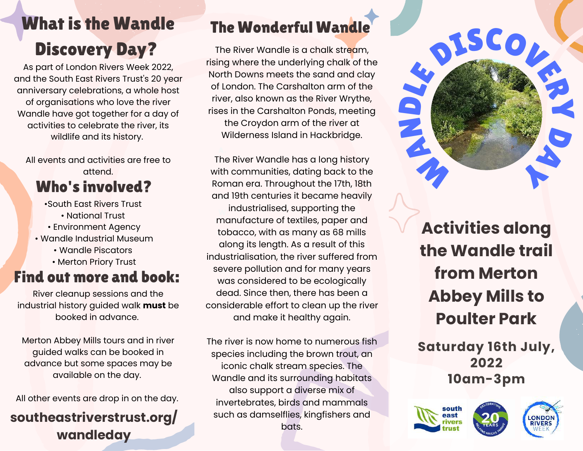# What is the Wandle Discovery Day?

As part of London Rivers Week 2022, and the South East Rivers Trust's 20 year anniversary celebrations, a whole host of organisations who love the river Wandle have got together for a day of activities to celebrate the river, its wildlife and its history.

All events and activities are free to attend.

## Who's involved?

- •South East Rivers Trust • National Trust
- Environment Agency
- Wandle Industrial Museum
	- Wandle Piscators
	- Merton Priory Trust

## Find out more and book:

River cleanup sessions and the industrial history guided walk **must** be booked in advance.

Merton Abbey Mills tours and in river guided walks can be booked in advance but some spaces may be available on the day.

All other events are drop in on the day.

### **southeastriverstrust.org/ wandleday**

## The Wonderful Wandle

The River Wandle is a chalk stream, rising where the underlying chalk of the North Downs meets the sand and clay of London. The Carshalton arm of the river, also known as the River Wrythe, rises in the Carshalton Ponds, meeting the Croydon arm of the river at Wilderness Island in Hackbridge.

Roman era. Throughout the 17th, 18th and 19th centuries it became heavily The River Wandle has a long history with communities, dating back to the industrialised, supporting the manufacture of textiles, paper and tobacco, with as many as 68 mills along its length. As a result of this industrialisation, the river suffered from severe pollution and for many years was considered to be ecologically dead. Since then, there has been a considerable effort to clean up the river and make it healthy again.

The river is now home to numerous fish species including the brown trout, an iconic chalk stream species. The Wandle and its surrounding habitats also support a diverse mix of invertebrates, birds and mammals such as damselflies, kingfishers and bats.

# **Activities along the Wandle trail from Merton Abbey Mills to Poulter Park**

DISCOVERY

**Saturday 16th July, 2022 10am-3pm**



HAND



DAY